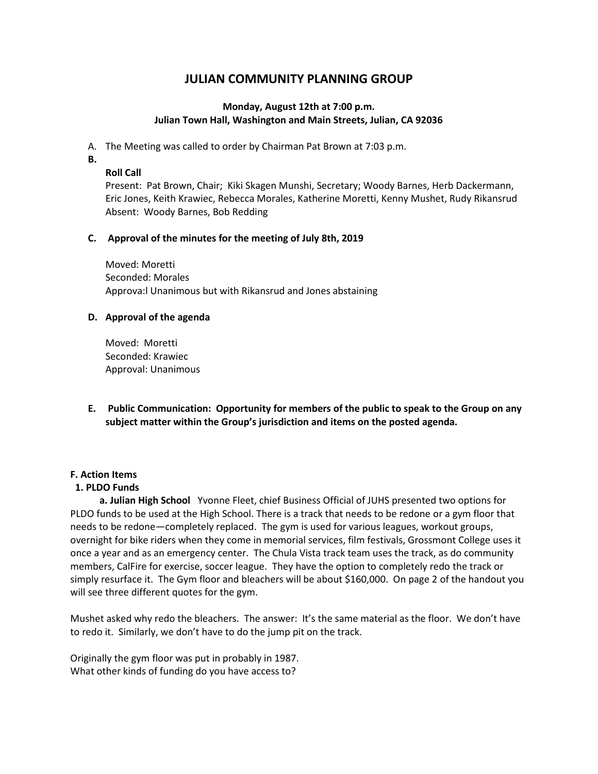# **JULIAN COMMUNITY PLANNING GROUP**

### **Monday, August 12th at 7:00 p.m. Julian Town Hall, Washington and Main Streets, Julian, CA 92036**

A. The Meeting was called to order by Chairman Pat Brown at 7:03 p.m.

- **B.**
- **Roll Call**

Present: Pat Brown, Chair; Kiki Skagen Munshi, Secretary; Woody Barnes, Herb Dackermann, Eric Jones, Keith Krawiec, Rebecca Morales, Katherine Moretti, Kenny Mushet, Rudy Rikansrud Absent: Woody Barnes, Bob Redding

### **C. Approval of the minutes for the meeting of July 8th, 2019**

Moved: Moretti Seconded: Morales Approva:l Unanimous but with Rikansrud and Jones abstaining

### **D. Approval of the agenda**

Moved: Moretti Seconded: Krawiec Approval: Unanimous

**E. Public Communication: Opportunity for members of the public to speak to the Group on any subject matter within the Group's jurisdiction and items on the posted agenda.** 

#### **F. Action Items**

## **1. PLDO Funds**

 **a. Julian High School** Yvonne Fleet, chief Business Official of JUHS presented two options for PLDO funds to be used at the High School. There is a track that needs to be redone or a gym floor that needs to be redone—completely replaced. The gym is used for various leagues, workout groups, overnight for bike riders when they come in memorial services, film festivals, Grossmont College uses it once a year and as an emergency center. The Chula Vista track team uses the track, as do community members, CalFire for exercise, soccer league. They have the option to completely redo the track or simply resurface it. The Gym floor and bleachers will be about \$160,000. On page 2 of the handout you will see three different quotes for the gym.

Mushet asked why redo the bleachers. The answer: It's the same material as the floor. We don't have to redo it. Similarly, we don't have to do the jump pit on the track.

Originally the gym floor was put in probably in 1987. What other kinds of funding do you have access to?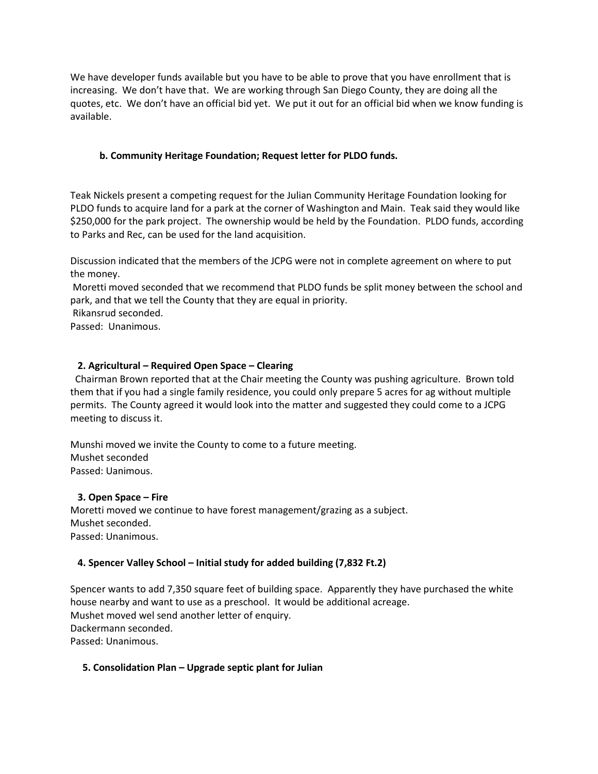We have developer funds available but you have to be able to prove that you have enrollment that is increasing. We don't have that. We are working through San Diego County, they are doing all the quotes, etc. We don't have an official bid yet. We put it out for an official bid when we know funding is available.

#### **b. Community Heritage Foundation; Request letter for PLDO funds.**

Teak Nickels present a competing request for the Julian Community Heritage Foundation looking for PLDO funds to acquire land for a park at the corner of Washington and Main. Teak said they would like \$250,000 for the park project. The ownership would be held by the Foundation. PLDO funds, according to Parks and Rec, can be used for the land acquisition.

Discussion indicated that the members of the JCPG were not in complete agreement on where to put the money.

Moretti moved seconded that we recommend that PLDO funds be split money between the school and park, and that we tell the County that they are equal in priority.

Rikansrud seconded.

Passed: Unanimous.

### **2. Agricultural – Required Open Space – Clearing**

 Chairman Brown reported that at the Chair meeting the County was pushing agriculture. Brown told them that if you had a single family residence, you could only prepare 5 acres for ag without multiple permits. The County agreed it would look into the matter and suggested they could come to a JCPG meeting to discuss it.

Munshi moved we invite the County to come to a future meeting. Mushet seconded Passed: Uanimous.

#### **3. Open Space – Fire**

Moretti moved we continue to have forest management/grazing as a subject. Mushet seconded. Passed: Unanimous.

#### **4. Spencer Valley School – Initial study for added building (7,832 Ft.2)**

Spencer wants to add 7,350 square feet of building space. Apparently they have purchased the white house nearby and want to use as a preschool. It would be additional acreage. Mushet moved wel send another letter of enquiry. Dackermann seconded. Passed: Unanimous.

#### **5. Consolidation Plan – Upgrade septic plant for Julian**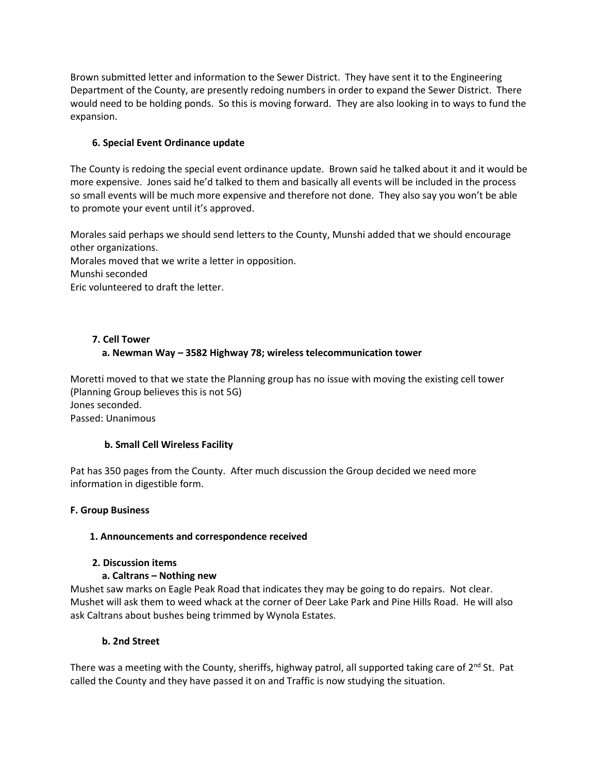Brown submitted letter and information to the Sewer District. They have sent it to the Engineering Department of the County, are presently redoing numbers in order to expand the Sewer District. There would need to be holding ponds. So this is moving forward. They are also looking in to ways to fund the expansion.

## **6. Special Event Ordinance update**

The County is redoing the special event ordinance update. Brown said he talked about it and it would be more expensive. Jones said he'd talked to them and basically all events will be included in the process so small events will be much more expensive and therefore not done. They also say you won't be able to promote your event until it's approved.

Morales said perhaps we should send letters to the County, Munshi added that we should encourage other organizations. Morales moved that we write a letter in opposition. Munshi seconded

Eric volunteered to draft the letter.

## **7. Cell Tower a. Newman Way – 3582 Highway 78; wireless telecommunication tower**

Moretti moved to that we state the Planning group has no issue with moving the existing cell tower (Planning Group believes this is not 5G) Jones seconded. Passed: Unanimous

## **b. Small Cell Wireless Facility**

Pat has 350 pages from the County. After much discussion the Group decided we need more information in digestible form.

## **F. Group Business**

## **1. Announcements and correspondence received**

## **2. Discussion items**

## **a. Caltrans – Nothing new**

Mushet saw marks on Eagle Peak Road that indicates they may be going to do repairs. Not clear. Mushet will ask them to weed whack at the corner of Deer Lake Park and Pine Hills Road. He will also ask Caltrans about bushes being trimmed by Wynola Estates.

## **b. 2nd Street**

There was a meeting with the County, sheriffs, highway patrol, all supported taking care of  $2^{nd}$  St. Pat called the County and they have passed it on and Traffic is now studying the situation.